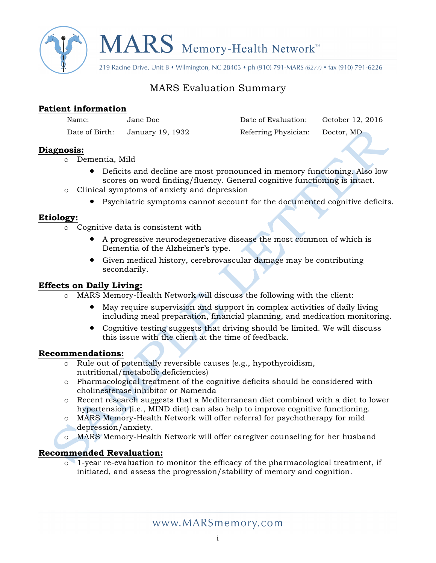

219 Racine Drive, Unit B • Wilmington, NC 28403 • ph (910) 791-MARS (6277) • fax (910) 791-6226

# MARS Evaluation Summary

### **Patient information**

| Name:           | Jane Doe        |  |  |  |  |
|-----------------|-----------------|--|--|--|--|
| Date of $Rirth$ | 193 Ianuary 19, |  |  |  |  |

Date of Evaluation: October 12, 2016 of Birth: January 19, 1932 Referring Physician: Doctor, MD

**Diagnosis:**

- o Dementia, Mild
	- Deficits and decline are most pronounced in memory functioning. Also low scores on word finding/fluency. General cognitive functioning is intact.
- o Clinical symptoms of anxiety and depression
	- Psychiatric symptoms cannot account for the documented cognitive deficits.

## **Etiology:**

- o Cognitive data is consistent with
	- A progressive neurodegenerative disease the most common of which is Dementia of the Alzheimer's type.
	- Given medical history, cerebrovascular damage may be contributing secondarily.

## **Effects on Daily Living:**

- o MARS Memory-Health Network will discuss the following with the client:
	- May require supervision and support in complex activities of daily living including meal preparation, financial planning, and medication monitoring.
	- Cognitive testing suggests that driving should be limited. We will discuss this issue with the client at the time of feedback.

## **Recommendations:**

- o Rule out of potentially reversible causes (e.g., hypothyroidism, nutritional/metabolic deficiencies)
- o Pharmacological treatment of the cognitive deficits should be considered with cholinesterase inhibitor or Namenda
- o Recent research suggests that a Mediterranean diet combined with a diet to lower hypertension (i.e., MIND diet) can also help to improve cognitive functioning.
- o MARS Memory-Health Network will offer referral for psychotherapy for mild depression/anxiety.
- o MARS Memory-Health Network will offer caregiver counseling for her husband

## **Recommended Revaluation:**

o 1-year re-evaluation to monitor the efficacy of the pharmacological treatment, if initiated, and assess the progression/stability of memory and cognition.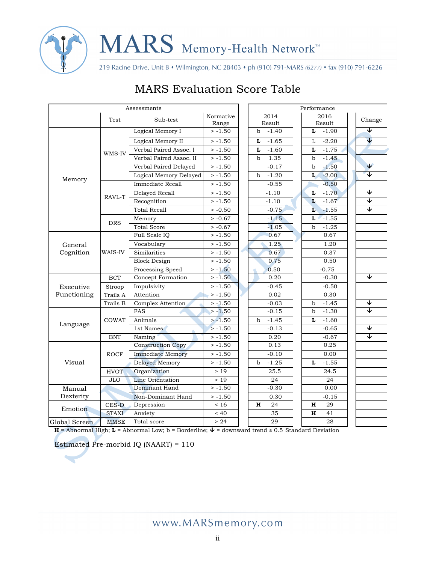

219 Racine Drive, Unit B • Wilmington, NC 28403 • ph (910) 791-MARS (6277) • fax (910) 791-6226

| Assessments          |              |                          | Performance        |                                |                        |                      |                        |                         |
|----------------------|--------------|--------------------------|--------------------|--------------------------------|------------------------|----------------------|------------------------|-------------------------|
|                      | Test         | Sub-test                 | Normative<br>Range |                                | 2014<br>Result         |                      | 2016<br>Result         | Change                  |
|                      |              | Logical Memory I         | $> -1.50$          |                                | $\mathbf b$<br>$-1.40$ |                      | L<br>$-1.90$           | ↓                       |
| Memory               |              | Logical Memory II        | $> -1.50$          |                                | $-1.65$<br>L           |                      | $-2.20$<br>L           | J                       |
|                      |              | Verbal Paired Assoc. I   | $>-1.50$           |                                | $-1.60$<br>L           |                      | $-1.75$<br>L           |                         |
|                      | WMS-IV       | Verbal Paired Assoc. II  | $>-1.50$           | 1.35<br>$\mathbf b$<br>$-0.17$ |                        |                      | $-1.45$<br>$\mathbf b$ |                         |
|                      |              | Verbal Paired Delayed    | $> -1.50$          |                                | $-1.50$<br>$\mathbf b$ | $\blacktriangledown$ |                        |                         |
|                      |              | Logical Memory Delayed   | $> -1.50$          |                                | $-1.20$<br>$\mathbf b$ |                      | $-2.00$<br>L           | ᠴ                       |
|                      |              | Immediate Recall         | $> -1.50$          |                                | $-0.55$                |                      | $-0.50$                |                         |
|                      |              |                          |                    |                                |                        |                      |                        | ↓                       |
|                      | RAVL-T       | Delayed Recall           | $>-1.50$           |                                | $-1.10$                |                      | $-1.70$<br>L           | J                       |
|                      |              | Recognition              | $> -1.50$          |                                |                        | $-1.10$              | $-1.67$<br>L           | $\overline{\mathbf{v}}$ |
|                      |              | <b>Total Recall</b>      | $> -0.50$          |                                | $-0.75$                |                      | L<br>$-1.55$           |                         |
|                      | <b>DRS</b>   | Memory                   | $> -0.67$          |                                | $-1.15$                |                      | $-1.55$<br>L           |                         |
|                      |              | <b>Total Score</b>       | $> -0.67$          |                                | $-1.05$                |                      | $-1.25$<br>$\mathbf b$ |                         |
|                      |              | Full Scale IQ            | $> -1.50$          |                                | 0.67                   |                      | 0.67                   |                         |
| General<br>Cognition |              | Vocabulary               | $>-1.50$           |                                | 1.25                   |                      | 1.20                   |                         |
|                      | WAIS-IV      | Similarities             | $> -1.50$          |                                | 0.67                   |                      | 0.37                   |                         |
|                      |              | <b>Block Design</b>      | $> -1.50$          |                                | 0.75                   |                      | 0.50                   |                         |
|                      |              | Processing Speed         | $>-1.50$           |                                | $-0.50$                |                      | $-0.75$                |                         |
|                      | <b>BCT</b>   | Concept Formation        | $>-1.50$           |                                | 0.20                   |                      | $-0.30$                | ↴                       |
| Executive            | Stroop       | Impulsivity              | $> -1.50$          |                                | $-0.45$                |                      | $-0.50$                |                         |
| Functioning          | Trails A     | Attention                | $> -1.50$          |                                | 0.02                   |                      | 0.30                   |                         |
|                      | Trails B     | Complex Attention        | $> -1.50$          |                                | $-0.03$                |                      | $-1.45$<br>$\mathbf b$ | ↓                       |
|                      |              | <b>FAS</b>               | $> -1.50$          |                                | $-0.15$                |                      | $-1.30$<br>$\mathbf b$ | ↓                       |
| Language             | <b>COWAT</b> | Animals                  | $> -1.50$          |                                | $-1.45$<br>b           |                      | $-1.60$<br>L           |                         |
|                      |              | 1st Names                | $> -1.50$          |                                | $-0.13$                |                      | $-0.65$                | J                       |
|                      | <b>BNT</b>   | Naming                   | $> -1.50$          |                                | 0.20                   |                      | $-0.67$                | ᢦ                       |
| Visual               |              | <b>Construction Copy</b> | $> -1.50$          |                                | 0.13                   |                      | 0.25                   |                         |
|                      | <b>ROCF</b>  | <b>Immediate Memory</b>  | $> -1.50$          |                                | $-0.10$                |                      | 0.00                   |                         |
|                      |              | <b>Delayed Memory</b>    | $> -1.50$          |                                | $-1.25$<br>b           |                      | L<br>$-1.55$           |                         |
|                      | <b>HVOT</b>  | Organization             | >19                |                                | 25.5                   |                      | 24.5                   |                         |
|                      | <b>JLO</b>   | Line Orientation         | $>19$              |                                | 24                     |                      | 24                     |                         |
| Manual               |              | Dominant Hand            | $> -1.50$          |                                | $-0.30$                |                      | 0.00                   |                         |
| Dexterity            |              | Non-Dominant Hand        | $> -1.50$          |                                | 0.30                   |                      | $-0.15$                |                         |
|                      | CES-D        | Depression               | < 16               |                                | $\mathbf H$<br>24      |                      | 29<br>н                |                         |
| Emotion              | <b>STAXI</b> | Anxiety                  | ~< 40              |                                | 35                     |                      | $\mathbf H$<br>41      |                         |
| Global Screen        | <b>MMSE</b>  | Total score              | > 24               |                                | $\overline{29}$        |                      | 28                     |                         |

# **MARS Evaluation Score Table**

 $H =$  Abnormal High;  $L =$  Abnormal Low; b = Borderline;  $\mathbf{\hat{V}} =$  downward trend  $\geq 0.5$  Standard Deviation

Estimated Pre-morbid IQ (NAART) = 110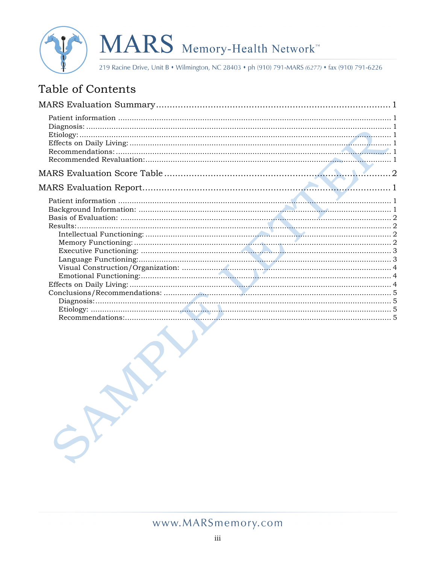

219 Racine Drive, Unit B • Wilmington, NC 28403 • ph (910) 791-MARS (6277) • fax (910) 791-6226

# Table of Contents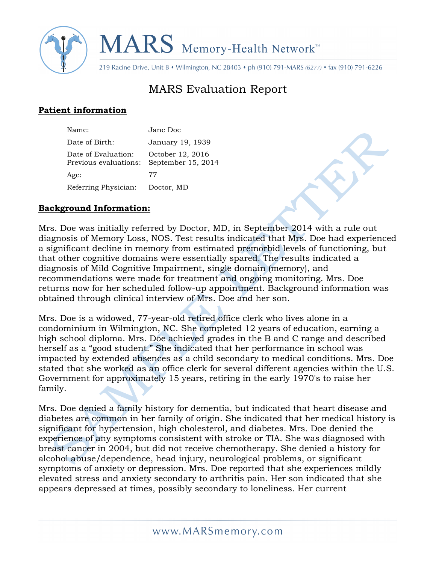

219 Racine Drive, Unit B • Wilmington, NC 28403 • ph (910) 791-MARS (6277) • fax (910) 791-6226

# MARS Evaluation Report

# **Patient information**

| Name:                                        | Jane Doe                               |
|----------------------------------------------|----------------------------------------|
| Date of Birth:                               | January 19, 1939                       |
| Date of Evaluation:<br>Previous evaluations: | October 12, 2016<br>September 15, 2014 |
| Age:                                         | 77                                     |
| Referring Physician:                         | Doctor, MD                             |

#### **Background Information:**

Mrs. Doe was initially referred by Doctor, MD, in September 2014 with a rule out diagnosis of Memory Loss, NOS. Test results indicated that Mrs. Doe had experienced a significant decline in memory from estimated premorbid levels of functioning, but that other cognitive domains were essentially spared. The results indicated a diagnosis of Mild Cognitive Impairment, single domain (memory), and recommendations were made for treatment and ongoing monitoring. Mrs. Doe returns now for her scheduled follow-up appointment. Background information was obtained through clinical interview of Mrs. Doe and her son.

Mrs. Doe is a widowed, 77-year-old retired office clerk who lives alone in a condominium in Wilmington, NC. She completed 12 years of education, earning a high school diploma. Mrs. Doe achieved grades in the B and C range and described herself as a "good student." She indicated that her performance in school was impacted by extended absences as a child secondary to medical conditions. Mrs. Doe stated that she worked as an office clerk for several different agencies within the U.S. Government for approximately 15 years, retiring in the early 1970's to raise her family.

Mrs. Doe denied a family history for dementia, but indicated that heart disease and diabetes are common in her family of origin. She indicated that her medical history is significant for hypertension, high cholesterol, and diabetes. Mrs. Doe denied the experience of any symptoms consistent with stroke or TIA. She was diagnosed with breast cancer in 2004, but did not receive chemotherapy. She denied a history for alcohol abuse/dependence, head injury, neurological problems, or significant symptoms of anxiety or depression. Mrs. Doe reported that she experiences mildly elevated stress and anxiety secondary to arthritis pain. Her son indicated that she appears depressed at times, possibly secondary to loneliness. Her current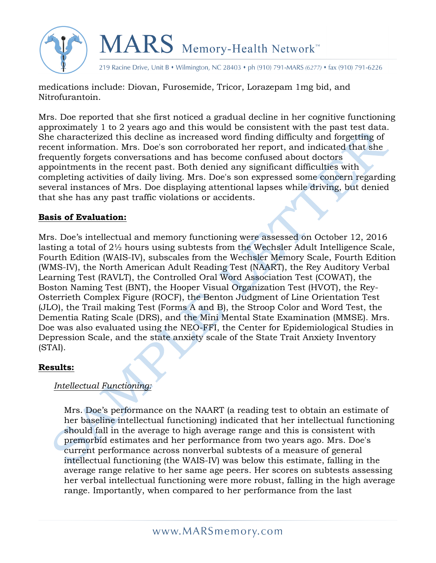



219 Racine Drive, Unit B • Wilmington, NC 28403 • ph (910) 791-MARS (6277) • fax (910) 791-6226

medications include: Diovan, Furosemide, Tricor, Lorazepam 1mg bid, and Nitrofurantoin.

Mrs. Doe reported that she first noticed a gradual decline in her cognitive functioning approximately 1 to 2 years ago and this would be consistent with the past test data. She characterized this decline as increased word finding difficulty and forgetting of recent information. Mrs. Doe's son corroborated her report, and indicated that she frequently forgets conversations and has become confused about doctors appointments in the recent past. Both denied any significant difficulties with completing activities of daily living. Mrs. Doe's son expressed some concern regarding several instances of Mrs. Doe displaying attentional lapses while driving, but denied that she has any past traffic violations or accidents.

#### **Basis of Evaluation:**

Mrs. Doe's intellectual and memory functioning were assessed on October 12, 2016 lasting a total of 2½ hours using subtests from the Wechsler Adult Intelligence Scale, Fourth Edition (WAIS-IV), subscales from the Wechsler Memory Scale, Fourth Edition (WMS-IV), the North American Adult Reading Test (NAART), the Rey Auditory Verbal Learning Test (RAVLT), the Controlled Oral Word Association Test (COWAT), the Boston Naming Test (BNT), the Hooper Visual Organization Test (HVOT), the Rey-Osterrieth Complex Figure (ROCF), the Benton Judgment of Line Orientation Test (JLO), the Trail making Test (Forms A and B), the Stroop Color and Word Test, the Dementia Rating Scale (DRS), and the Mini Mental State Examination (MMSE). Mrs. Doe was also evaluated using the NEO-FFI, the Center for Epidemiological Studies in Depression Scale, and the state anxiety scale of the State Trait Anxiety Inventory (STAI).

#### **Results:**

#### *Intellectual Functioning:*

Mrs. Doe's performance on the NAART (a reading test to obtain an estimate of her baseline intellectual functioning) indicated that her intellectual functioning should fall in the average to high average range and this is consistent with premorbid estimates and her performance from two years ago. Mrs. Doe's current performance across nonverbal subtests of a measure of general intellectual functioning (the WAIS-IV) was below this estimate, falling in the average range relative to her same age peers. Her scores on subtests assessing her verbal intellectual functioning were more robust, falling in the high average range. Importantly, when compared to her performance from the last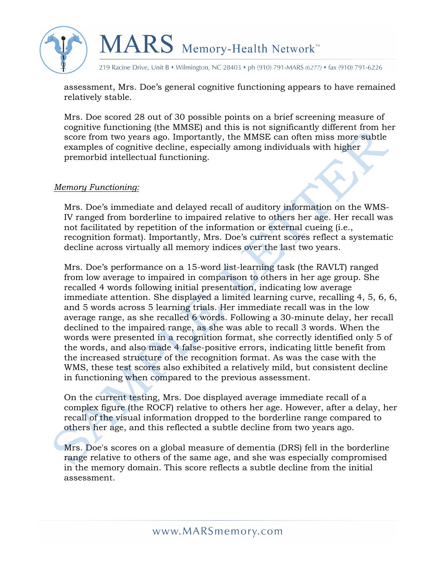

219 Racine Drive, Unit B • Wilmington, NC 28403 • ph (910) 791-MARS (6277) • fax (910) 791-6226

assessment, Mrs. Doe's general cognitive functioning appears to have remained relatively stable.

Mrs. Doe scored 28 out of 30 possible points on a brief screening measure of cognitive functioning (the MMSE) and this is not significantly different from her score from two years ago. Importantly, the MMSE can often miss more subtle examples of cognitive decline, especially among individuals with higher premorbid intellectual functioning.

#### *Memory Functioning:*

Mrs. Doe's immediate and delayed recall of auditory information on the WMS-IV ranged from borderline to impaired relative to others her age. Her recall was not facilitated by repetition of the information or external cueing (i.e., recognition format). Importantly, Mrs. Doe's current scores reflect a systematic decline across virtually all memory indices over the last two years.

Mrs. Doe's performance on a 15-word list-learning task (the RAVLT) ranged from low average to impaired in comparison to others in her age group. She recalled 4 words following initial presentation, indicating low average immediate attention. She displayed a limited learning curve, recalling 4, 5, 6, 6, and 5 words across 5 learning trials. Her immediate recall was in the low average range, as she recalled 6 words. Following a 30-minute delay, her recall declined to the impaired range, as she was able to recall 3 words. When the words were presented in a recognition format, she correctly identified only 5 of the words, and also made 4 false-positive errors, indicating little benefit from the increased structure of the recognition format. As was the case with the WMS, these test scores also exhibited a relatively mild, but consistent decline in functioning when compared to the previous assessment.

On the current testing, Mrs. Doe displayed average immediate recall of a complex figure (the ROCF) relative to others her age. However, after a delay, her recall of the visual information dropped to the borderline range compared to others her age, and this reflected a subtle decline from two years ago.

Mrs. Doe's scores on a global measure of dementia (DRS) fell in the borderline range relative to others of the same age, and she was especially compromised in the memory domain. This score reflects a subtle decline from the initial assessment.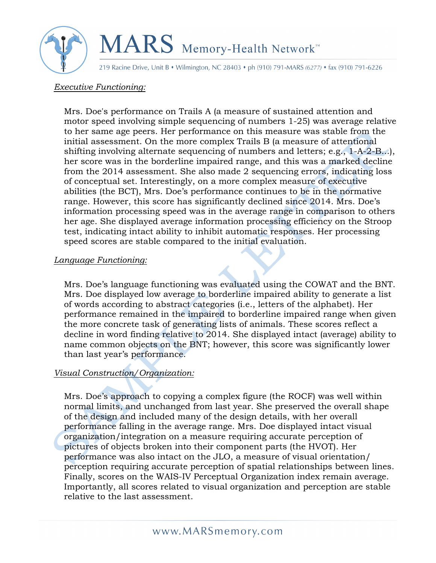

219 Racine Drive, Unit B • Wilmington, NC 28403 • ph (910) 791-MARS (6277) • fax (910) 791-6226

#### *Executive Functioning:*

Mrs. Doe's performance on Trails A (a measure of sustained attention and motor speed involving simple sequencing of numbers 1-25) was average relative to her same age peers. Her performance on this measure was stable from the initial assessment. On the more complex Trails B (a measure of attentional shifting involving alternate sequencing of numbers and letters; e.g., 1-A-2-B...), her score was in the borderline impaired range, and this was a marked decline from the 2014 assessment. She also made 2 sequencing errors, indicating loss of conceptual set. Interestingly, on a more complex measure of executive abilities (the BCT), Mrs. Doe's performance continues to be in the normative range. However, this score has significantly declined since 2014. Mrs. Doe's information processing speed was in the average range in comparison to others her age. She displayed average information processing efficiency on the Stroop test, indicating intact ability to inhibit automatic responses. Her processing speed scores are stable compared to the initial evaluation.

#### *Language Functioning:*

Mrs. Doe's language functioning was evaluated using the COWAT and the BNT. Mrs. Doe displayed low average to borderline impaired ability to generate a list of words according to abstract categories (i.e., letters of the alphabet). Her performance remained in the impaired to borderline impaired range when given the more concrete task of generating lists of animals. These scores reflect a decline in word finding relative to 2014. She displayed intact (average) ability to name common objects on the BNT; however, this score was significantly lower than last year's performance.

## *Visual Construction/Organization:*

Mrs. Doe's approach to copying a complex figure (the ROCF) was well within normal limits, and unchanged from last year. She preserved the overall shape of the design and included many of the design details, with her overall performance falling in the average range. Mrs. Doe displayed intact visual organization/integration on a measure requiring accurate perception of pictures of objects broken into their component parts (the HVOT). Her performance was also intact on the JLO, a measure of visual orientation/ perception requiring accurate perception of spatial relationships between lines. Finally, scores on the WAIS-IV Perceptual Organization index remain average. Importantly, all scores related to visual organization and perception are stable relative to the last assessment.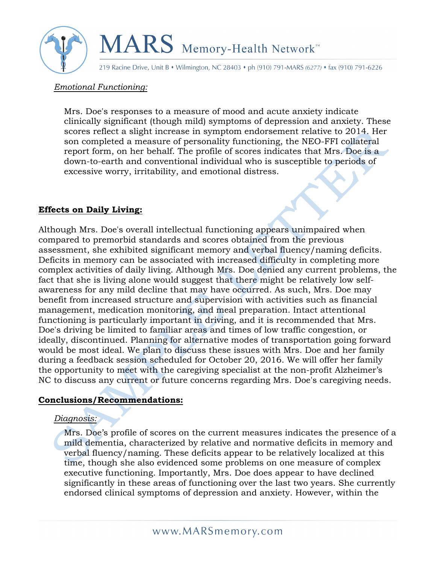

219 Racine Drive, Unit B • Wilmington, NC 28403 • ph (910) 791-MARS (6277) • fax (910) 791-6226

#### *Emotional Functioning:*

Mrs. Doe's responses to a measure of mood and acute anxiety indicate clinically significant (though mild) symptoms of depression and anxiety. These scores reflect a slight increase in symptom endorsement relative to 2014. Her son completed a measure of personality functioning, the NEO-FFI collateral report form, on her behalf. The profile of scores indicates that Mrs. Doe is a down-to-earth and conventional individual who is susceptible to periods of excessive worry, irritability, and emotional distress.

#### **Effects on Daily Living:**

Although Mrs. Doe's overall intellectual functioning appears unimpaired when compared to premorbid standards and scores obtained from the previous assessment, she exhibited significant memory and verbal fluency/naming deficits. Deficits in memory can be associated with increased difficulty in completing more complex activities of daily living. Although Mrs. Doe denied any current problems, the fact that she is living alone would suggest that there might be relatively low selfawareness for any mild decline that may have occurred. As such, Mrs. Doe may benefit from increased structure and supervision with activities such as financial management, medication monitoring, and meal preparation. Intact attentional functioning is particularly important in driving, and it is recommended that Mrs. Doe's driving be limited to familiar areas and times of low traffic congestion, or ideally, discontinued. Planning for alternative modes of transportation going forward would be most ideal. We plan to discuss these issues with Mrs. Doe and her family during a feedback session scheduled for October 20, 2016. We will offer her family the opportunity to meet with the caregiving specialist at the non-profit Alzheimer's NC to discuss any current or future concerns regarding Mrs. Doe's caregiving needs.

#### **Conclusions/Recommendations:**

#### *Diagnosis:*

Mrs. Doe's profile of scores on the current measures indicates the presence of a mild dementia, characterized by relative and normative deficits in memory and verbal fluency/naming. These deficits appear to be relatively localized at this time, though she also evidenced some problems on one measure of complex executive functioning. Importantly, Mrs. Doe does appear to have declined significantly in these areas of functioning over the last two years. She currently endorsed clinical symptoms of depression and anxiety. However, within the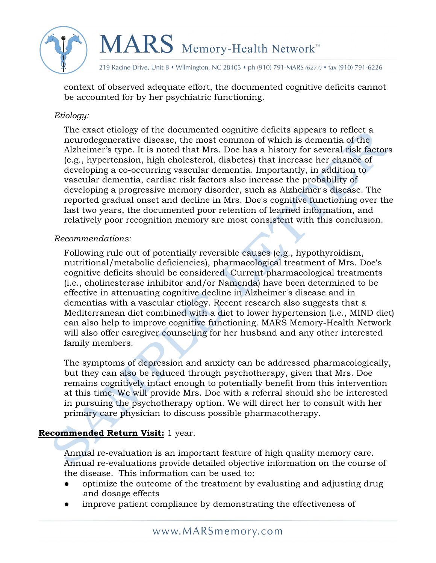

219 Racine Drive, Unit B • Wilmington, NC 28403 • ph (910) 791-MARS (6277) • fax (910) 791-6226

context of observed adequate effort, the documented cognitive deficits cannot be accounted for by her psychiatric functioning.

#### *Etiology:*

The exact etiology of the documented cognitive deficits appears to reflect a neurodegenerative disease, the most common of which is dementia of the Alzheimer's type. It is noted that Mrs. Doe has a history for several risk factors (e.g., hypertension, high cholesterol, diabetes) that increase her chance of developing a co-occurring vascular dementia. Importantly, in addition to vascular dementia, cardiac risk factors also increase the probability of developing a progressive memory disorder, such as Alzheimer's disease. The reported gradual onset and decline in Mrs. Doe's cognitive functioning over the last two years, the documented poor retention of learned information, and relatively poor recognition memory are most consistent with this conclusion.

#### *Recommendations:*

Following rule out of potentially reversible causes (e.g., hypothyroidism, nutritional/metabolic deficiencies), pharmacological treatment of Mrs. Doe's cognitive deficits should be considered. Current pharmacological treatments (i.e., cholinesterase inhibitor and/or Namenda) have been determined to be effective in attenuating cognitive decline in Alzheimer's disease and in dementias with a vascular etiology. Recent research also suggests that a Mediterranean diet combined with a diet to lower hypertension (i.e., MIND diet) can also help to improve cognitive functioning. MARS Memory-Health Network will also offer caregiver counseling for her husband and any other interested family members.

The symptoms of depression and anxiety can be addressed pharmacologically, but they can also be reduced through psychotherapy, given that Mrs. Doe remains cognitively intact enough to potentially benefit from this intervention at this time. We will provide Mrs. Doe with a referral should she be interested in pursuing the psychotherapy option. We will direct her to consult with her primary care physician to discuss possible pharmacotherapy.

## **Recommended Return Visit:** 1 year.

Annual re-evaluation is an important feature of high quality memory care. Annual re-evaluations provide detailed objective information on the course of the disease. This information can be used to:

- optimize the outcome of the treatment by evaluating and adjusting drug and dosage effects
- improve patient compliance by demonstrating the effectiveness of